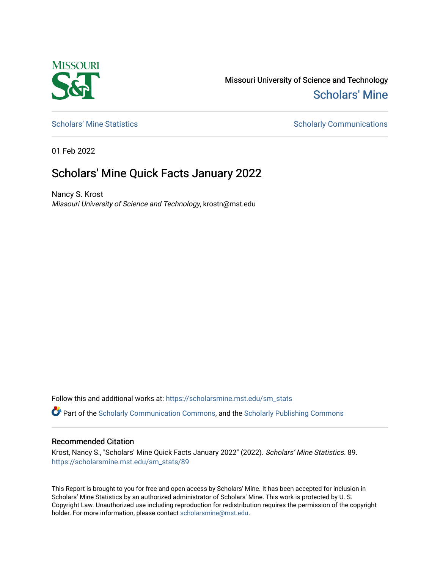

Missouri University of Science and Technology [Scholars' Mine](https://scholarsmine.mst.edu/) 

[Scholars' Mine Statistics](https://scholarsmine.mst.edu/sm_stats) Scholarly Communications

01 Feb 2022

## Scholars' Mine Quick Facts January 2022

Nancy S. Krost Missouri University of Science and Technology, krostn@mst.edu

Follow this and additional works at: [https://scholarsmine.mst.edu/sm\\_stats](https://scholarsmine.mst.edu/sm_stats?utm_source=scholarsmine.mst.edu%2Fsm_stats%2F89&utm_medium=PDF&utm_campaign=PDFCoverPages) 

Part of the [Scholarly Communication Commons,](http://network.bepress.com/hgg/discipline/1272?utm_source=scholarsmine.mst.edu%2Fsm_stats%2F89&utm_medium=PDF&utm_campaign=PDFCoverPages) and the [Scholarly Publishing Commons](http://network.bepress.com/hgg/discipline/1273?utm_source=scholarsmine.mst.edu%2Fsm_stats%2F89&utm_medium=PDF&utm_campaign=PDFCoverPages)

## Recommended Citation

Krost, Nancy S., "Scholars' Mine Quick Facts January 2022" (2022). Scholars' Mine Statistics. 89. [https://scholarsmine.mst.edu/sm\\_stats/89](https://scholarsmine.mst.edu/sm_stats/89?utm_source=scholarsmine.mst.edu%2Fsm_stats%2F89&utm_medium=PDF&utm_campaign=PDFCoverPages)

This Report is brought to you for free and open access by Scholars' Mine. It has been accepted for inclusion in Scholars' Mine Statistics by an authorized administrator of Scholars' Mine. This work is protected by U. S. Copyright Law. Unauthorized use including reproduction for redistribution requires the permission of the copyright holder. For more information, please contact [scholarsmine@mst.edu.](mailto:scholarsmine@mst.edu)